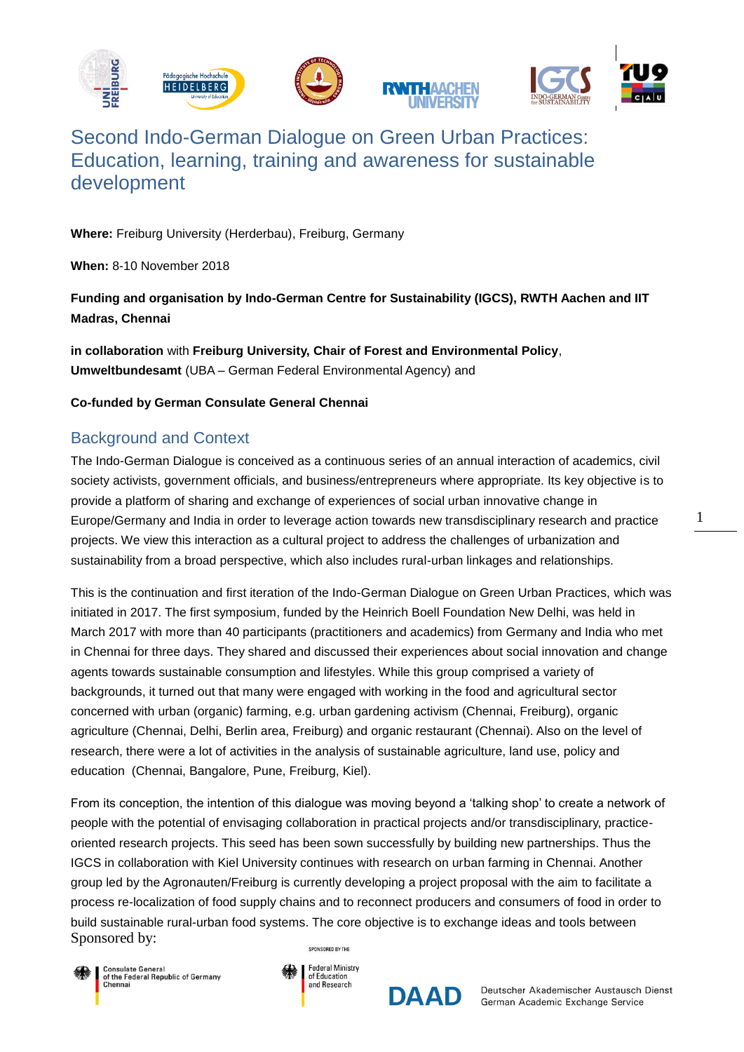

# Second Indo-German Dialogue on Green Urban Practices: Education, learning, training and awareness for sustainable development

**Where:** Freiburg University (Herderbau), Freiburg, Germany

**When:** 8-10 November 2018

# **Funding and organisation by Indo-German Centre for Sustainability (IGCS), RWTH Aachen and IIT Madras, Chennai**

**in collaboration** with **Freiburg University, Chair of Forest and Environmental Policy**, **Umweltbundesamt** (UBA – German Federal Environmental Agency) and

#### **Co-funded by German Consulate General Chennai**

# Background and Context

The Indo-German Dialogue is conceived as a continuous series of an annual interaction of academics, civil society activists, government officials, and business/entrepreneurs where appropriate. Its key objective is to provide a platform of sharing and exchange of experiences of social urban innovative change in Europe/Germany and India in order to leverage action towards new transdisciplinary research and practice projects. We view this interaction as a cultural project to address the challenges of urbanization and sustainability from a broad perspective, which also includes rural-urban linkages and relationships.

This is the continuation and first iteration of the Indo-German Dialogue on Green Urban Practices, which was initiated in 2017. The first symposium, funded by the Heinrich Boell Foundation New Delhi, was held in March 2017 with more than 40 participants (practitioners and academics) from Germany and India who met in Chennai for three days. They shared and discussed their experiences about social innovation and change agents towards sustainable consumption and lifestyles. While this group comprised a variety of backgrounds, it turned out that many were engaged with working in the food and agricultural sector concerned with urban (organic) farming, e.g. urban gardening activism (Chennai, Freiburg), organic agriculture (Chennai, Delhi, Berlin area, Freiburg) and organic restaurant (Chennai). Also on the level of research, there were a lot of activities in the analysis of sustainable agriculture, land use, policy and education (Chennai, Bangalore, Pune, Freiburg, Kiel).

From its conception, the intention of this dialogue was moving beyond a 'talking shop' to create a network of people with the potential of envisaging collaboration in practical projects and/or transdisciplinary, practiceoriented research projects. This seed has been sown successfully by building new partnerships. Thus the IGCS in collaboration with Kiel University continues with research on urban farming in Chennai. Another group led by the Agronauten/Freiburg is currently developing a project proposal with the aim to facilitate a process re-localization of food supply chains and to reconnect producers and consumers of food in order to build sustainable rural-urban food systems. The core objective is to exchange ideas and tools between Sponsored by: SPONSORED BY THE







Deutscher Akademischer Austausch Dienst German Academic Exchange Service

1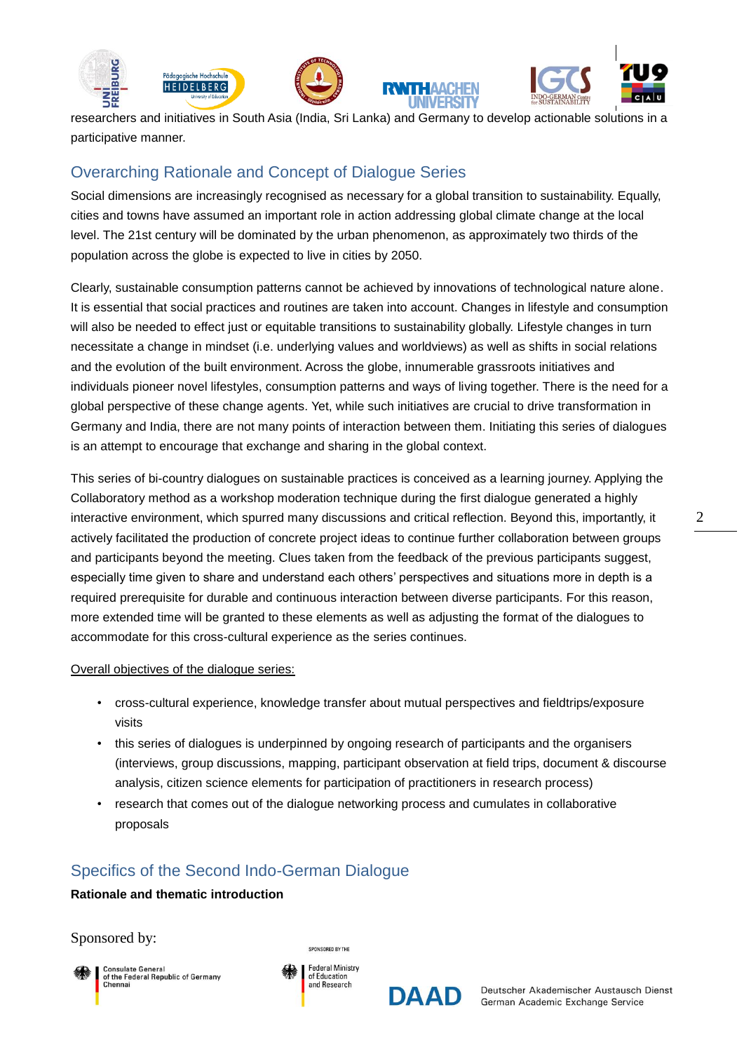





researchers and initiatives in South Asia (India, Sri Lanka) and Germany to develop actionable solutions in a participative manner.

# Overarching Rationale and Concept of Dialogue Series

Social dimensions are increasingly recognised as necessary for a global transition to sustainability. Equally, cities and towns have assumed an important role in action addressing global climate change at the local level. The 21st century will be dominated by the urban phenomenon, as approximately two thirds of the population across the globe is expected to live in cities by 2050.

Clearly, sustainable consumption patterns cannot be achieved by innovations of technological nature alone. It is essential that social practices and routines are taken into account. Changes in lifestyle and consumption will also be needed to effect just or equitable transitions to sustainability globally. Lifestyle changes in turn necessitate a change in mindset (i.e. underlying values and worldviews) as well as shifts in social relations and the evolution of the built environment. Across the globe, innumerable grassroots initiatives and individuals pioneer novel lifestyles, consumption patterns and ways of living together. There is the need for a global perspective of these change agents. Yet, while such initiatives are crucial to drive transformation in Germany and India, there are not many points of interaction between them. Initiating this series of dialogues is an attempt to encourage that exchange and sharing in the global context.

This series of bi-country dialogues on sustainable practices is conceived as a learning journey. Applying the Collaboratory method as a workshop moderation technique during the first dialogue generated a highly interactive environment, which spurred many discussions and critical reflection. Beyond this, importantly, it actively facilitated the production of concrete project ideas to continue further collaboration between groups and participants beyond the meeting. Clues taken from the feedback of the previous participants suggest, especially time given to share and understand each others' perspectives and situations more in depth is a required prerequisite for durable and continuous interaction between diverse participants. For this reason, more extended time will be granted to these elements as well as adjusting the format of the dialogues to accommodate for this cross-cultural experience as the series continues.

#### Overall objectives of the dialogue series:

- cross-cultural experience, knowledge transfer about mutual perspectives and fieldtrips/exposure visits
- this series of dialogues is underpinned by ongoing research of participants and the organisers (interviews, group discussions, mapping, participant observation at field trips, document & discourse analysis, citizen science elements for participation of practitioners in research process)
- research that comes out of the dialogue networking process and cumulates in collaborative proposals

# Specifics of the Second Indo-German Dialogue

#### **Rationale and thematic introduction**

Sponsored by:



of the Federal Republic of Germany



SPONSORED BY THE

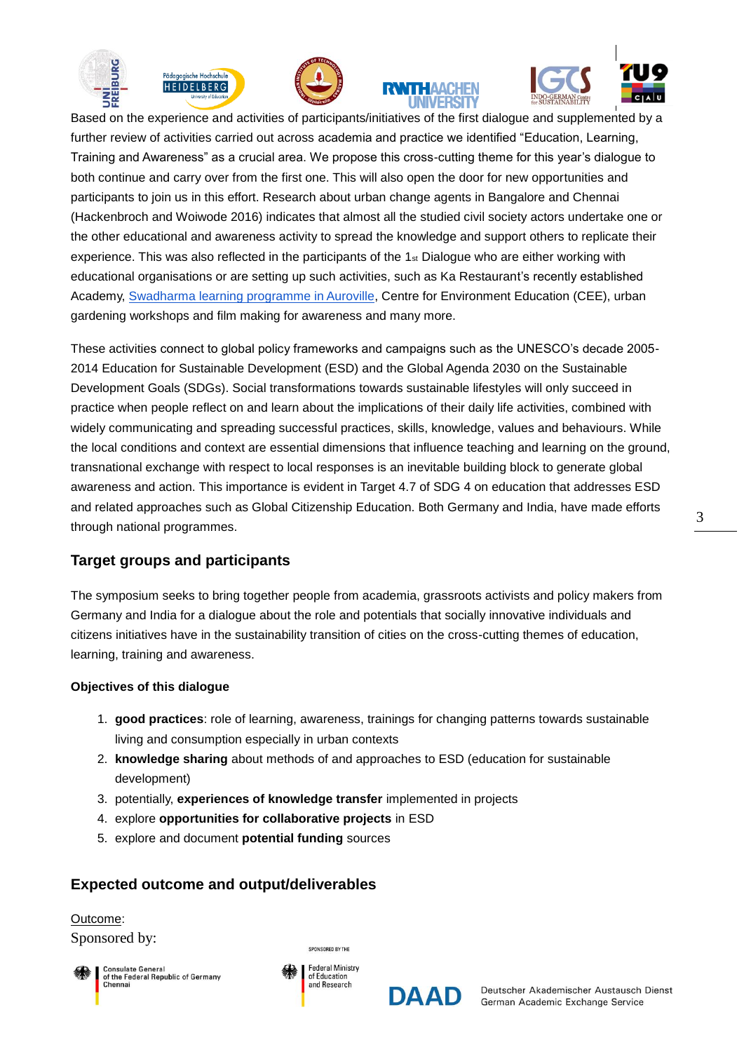









Based on the experience and activities of participants/initiatives of the first dialogue and supplemented by a further review of activities carried out across academia and practice we identified "Education, Learning, Training and Awareness" as a crucial area. We propose this cross-cutting theme for this year's dialogue to both continue and carry over from the first one. This will also open the door for new opportunities and participants to join us in this effort. Research about urban change agents in Bangalore and Chennai (Hackenbroch and Woiwode 2016) indicates that almost all the studied civil society actors undertake one or the other educational and awareness activity to spread the knowledge and support others to replicate their experience. This was also reflected in the participants of the  $1<sub>st</sub>$  Dialogue who are either working with educational organisations or are setting up such activities, such as Ka Restaurant's recently established Academy, [Swadharma learning programme in Auroville,](http://www.swadharma.auroville.org/) Centre for Environment Education (CEE), urban gardening workshops and film making for awareness and many more.

These activities connect to global policy frameworks and campaigns such as the UNESCO's decade 2005- 2014 Education for Sustainable Development (ESD) and the Global Agenda 2030 on the Sustainable Development Goals (SDGs). Social transformations towards sustainable lifestyles will only succeed in practice when people reflect on and learn about the implications of their daily life activities, combined with widely communicating and spreading successful practices, skills, knowledge, values and behaviours. While the local conditions and context are essential dimensions that influence teaching and learning on the ground, transnational exchange with respect to local responses is an inevitable building block to generate global awareness and action. This importance is evident in Target 4.7 of SDG 4 on education that addresses ESD and related approaches such as Global Citizenship Education. Both Germany and India, have made efforts through national programmes.

### **Target groups and participants**

The symposium seeks to bring together people from academia, grassroots activists and policy makers from Germany and India for a dialogue about the role and potentials that socially innovative individuals and citizens initiatives have in the sustainability transition of cities on the cross-cutting themes of education, learning, training and awareness.

#### **Objectives of this dialogue**

- 1. **good practices**: role of learning, awareness, trainings for changing patterns towards sustainable living and consumption especially in urban contexts
- 2. **knowledge sharing** about methods of and approaches to ESD (education for sustainable development)
- 3. potentially, **experiences of knowledge transfer** implemented in projects
- 4. explore **opportunities for collaborative projects** in ESD
- 5. explore and document **potential funding** sources

# **Expected outcome and output/deliverables**

Sponsored by: Outcome:



of the Federal Republic of Germany



SPONSORED BY THE

**DAAD**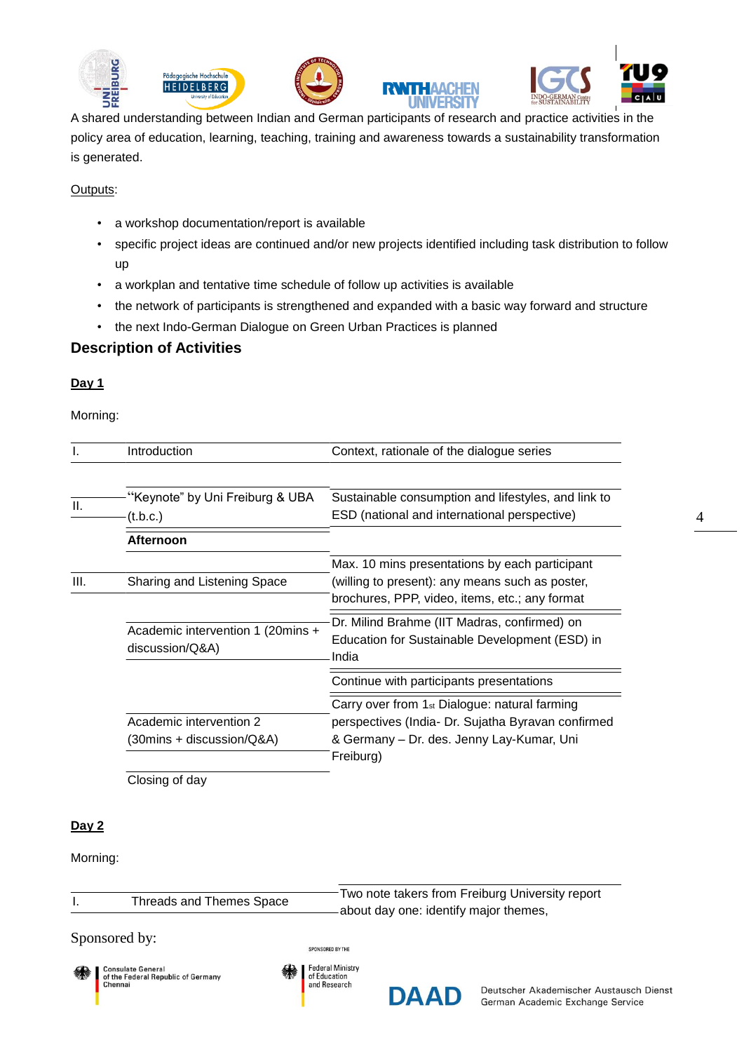









A shared understanding between Indian and German participants of research and practice activities in the policy area of education, learning, teaching, training and awareness towards a sustainability transformation is generated.

#### Outputs:

- a workshop documentation/report is available
- specific project ideas are continued and/or new projects identified including task distribution to follow up
- a workplan and tentative time schedule of follow up activities is available
- the network of participants is strengthened and expanded with a basic way forward and structure
- the next Indo-German Dialogue on Green Urban Practices is planned

### **Description of Activities**

#### **Day 1**

Morning:

|      | <b>Introduction</b>                                                          | Context, rationale of the dialogue series                                                                                                                                 |
|------|------------------------------------------------------------------------------|---------------------------------------------------------------------------------------------------------------------------------------------------------------------------|
| II.  | "Keynote" by Uni Freiburg & UBA<br>(t.b.c.)                                  | Sustainable consumption and lifestyles, and link to<br>ESD (national and international perspective)                                                                       |
|      | <b>Afternoon</b>                                                             |                                                                                                                                                                           |
| III. | Sharing and Listening Space                                                  | Max. 10 mins presentations by each participant<br>(willing to present): any means such as poster,<br>brochures, PPP, video, items, etc.; any format                       |
|      | Academic intervention 1 (20mins +<br>discussion/Q&A)                         | Dr. Milind Brahme (IIT Madras, confirmed) on<br>Education for Sustainable Development (ESD) in<br>India                                                                   |
|      |                                                                              | Continue with participants presentations                                                                                                                                  |
|      | Academic intervention 2<br>$(30 \text{mins} + \text{discussion}/\text{Q&A})$ | Carry over from 1 <sub>st</sub> Dialogue: natural farming<br>perspectives (India- Dr. Sujatha Byravan confirmed<br>& Germany - Dr. des. Jenny Lay-Kumar, Uni<br>Freiburg) |

Closing of day

### **Day 2**

Morning:

Threads and Themes Space Two note takers from Freiburg University report about day one: identify major themes,

#### Sponsored by:



**Consulate General** of the Federal Republic of Germany Chennai



SPONSORED BY THE

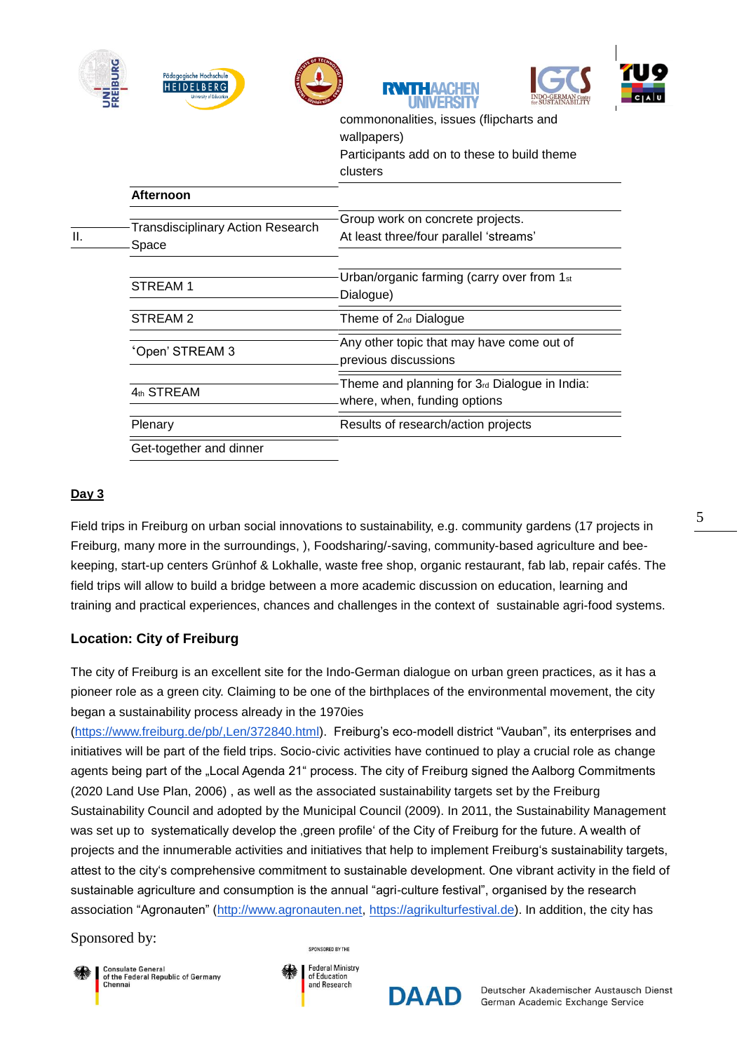|     | Pädagogische Hochschule<br><b>HEIDELBERG</b><br>riversity of Education | TT HAAC                                                                                                           |
|-----|------------------------------------------------------------------------|-------------------------------------------------------------------------------------------------------------------|
|     |                                                                        | commononalities, issues (flipcharts and<br>wallpapers)<br>Participants add on to these to build theme<br>clusters |
|     | <b>Afternoon</b>                                                       |                                                                                                                   |
| II. | <b>Transdisciplinary Action Research</b><br>Space                      | Group work on concrete projects.<br>At least three/four parallel 'streams'                                        |
|     | STREAM 1                                                               | Urban/organic farming (carry over from 1st<br>Dialogue)                                                           |
|     | STREAM <sub>2</sub>                                                    | Theme of 2 <sub>nd</sub> Dialogue                                                                                 |
|     | Open' STREAM 3                                                         | Any other topic that may have come out of<br>previous discussions                                                 |
|     | 4th STREAM                                                             | Theme and planning for 3rd Dialogue in India:<br>where, when, funding options                                     |
|     | Plenary                                                                | Results of research/action projects                                                                               |
|     | $\bigcap$ nt togothor and dinnor                                       |                                                                                                                   |

Get-together and dinner

### **Day 3**

Field trips in Freiburg on urban social innovations to sustainability, e.g. community gardens (17 projects in Freiburg, many more in the surroundings, ), Foodsharing/-saving, community-based agriculture and beekeeping, start-up centers Grünhof & Lokhalle, waste free shop, organic restaurant, fab lab, repair cafés. The field trips will allow to build a bridge between a more academic discussion on education, learning and training and practical experiences, chances and challenges in the context of sustainable agri-food systems.

### **Location: City of Freiburg**

The city of Freiburg is an excellent site for the Indo-German dialogue on urban green practices, as it has a pioneer role as a green city. Claiming to be one of the birthplaces of the environmental movement, the city began a sustainability process already in the 1970ies

[\(https://www.freiburg.de/pb/,Len/372840.html\)](https://www.freiburg.de/pb/,Len/372840.html). Freiburg's eco-modell district "Vauban", its enterprises and initiatives will be part of the field trips. Socio-civic activities have continued to play a crucial role as change agents being part of the "Local Agenda 21" process. The city of Freiburg signed the Aalborg Commitments (2020 Land Use Plan, 2006) , as well as the associated sustainability targets set by the Freiburg Sustainability Council and adopted by the Municipal Council (2009). In 2011, the Sustainability Management was set up to systematically develop the areen profile' of the City of Freiburg for the future. A wealth of projects and the innumerable activities and initiatives that help to implement Freiburg's sustainability targets, attest to the city's comprehensive commitment to sustainable development. One vibrant activity in the field of sustainable agriculture and consumption is the annual "agri-culture festival", organised by the research association "Agronauten" [\(http://www.agronauten.net,](http://www.agronauten.net/) [https://agrikulturfestival.de\)](https://agrikulturfestival.de/). In addition, the city has

#### Sponsored by:



of the Federal Republic of Germany



SPONSORED BY THE